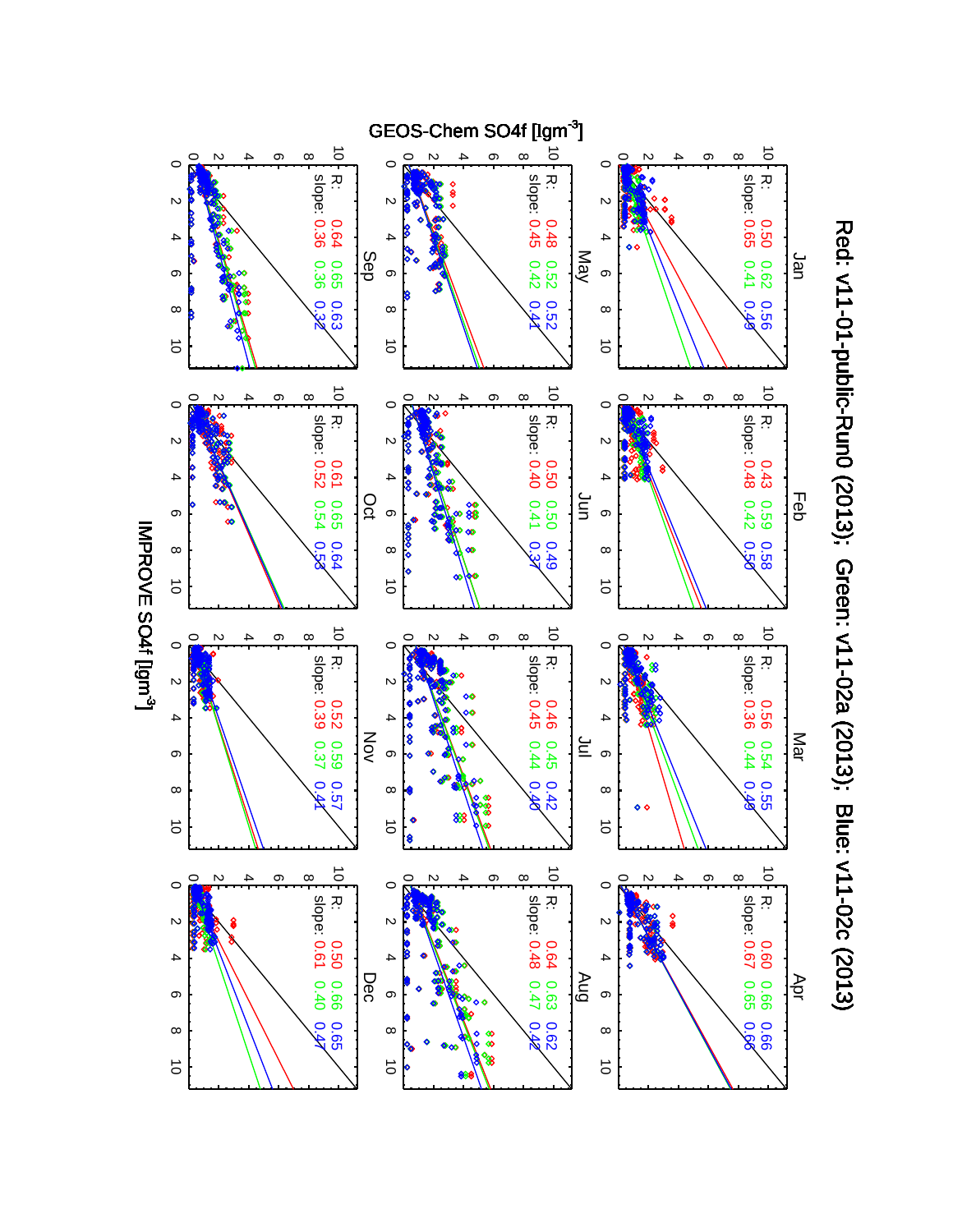

Red: v11-01-public-Rund (2013); Green: v11-02a (2013); Blue: v11-02a (2013); Red: v11-01-public-Run0 (2013); Green: v11-02a (2013); Blue: v11-02c (2013)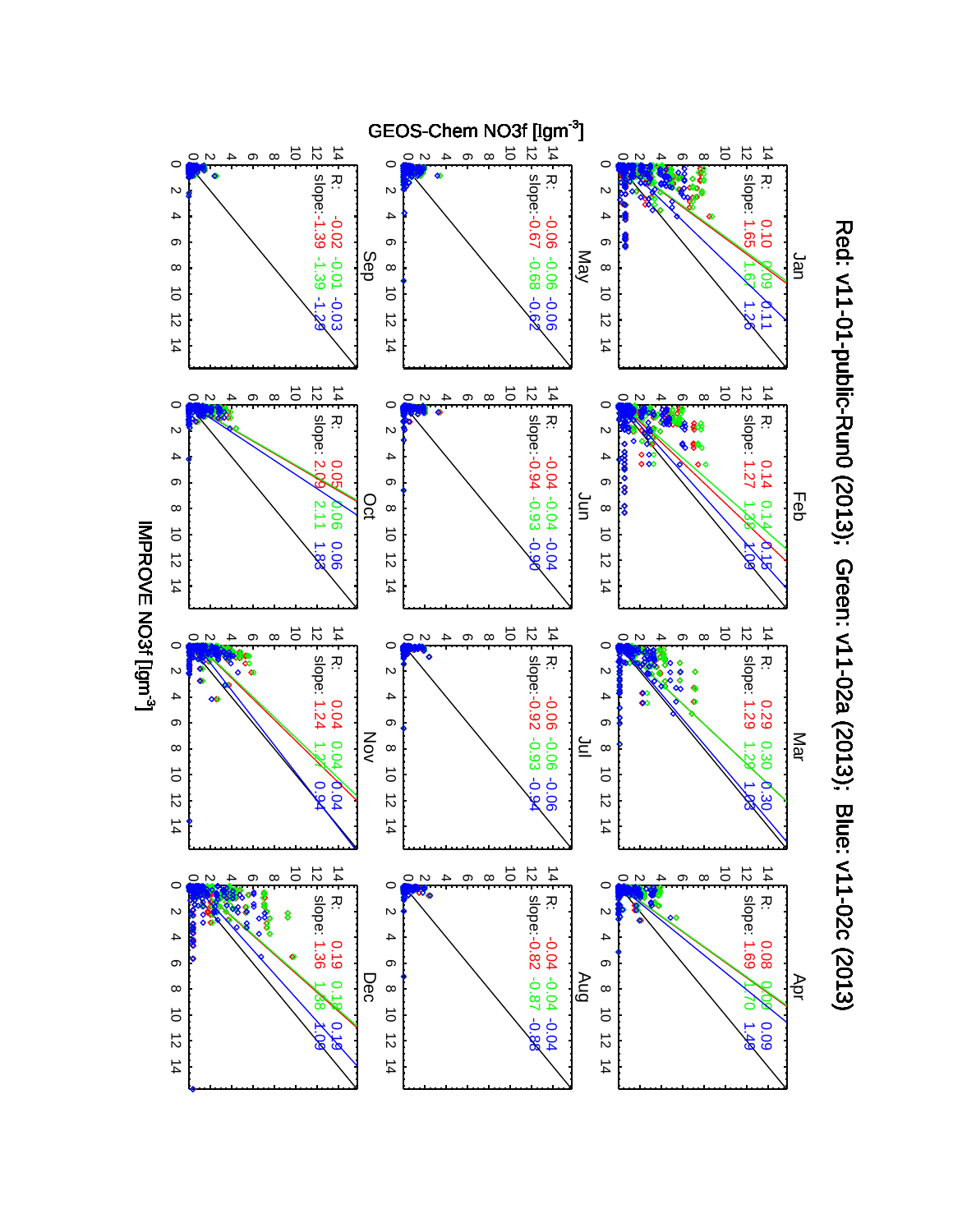

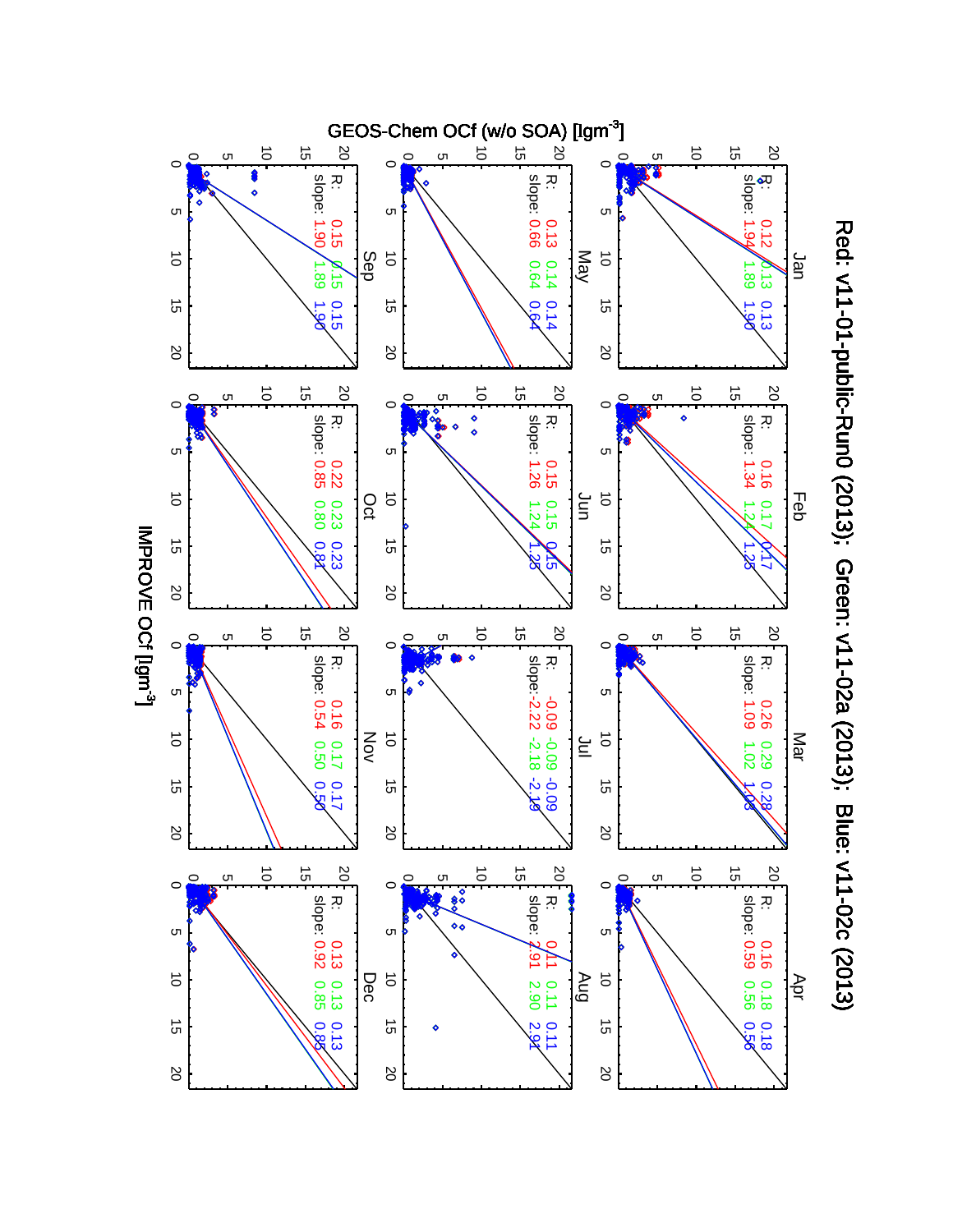

Red: v11-01-public-Rund (2013); Green: v11-02a (2013); Blue: v11-02a (2013); Red: v11-01-public-Run0 (2013); Green: v11-02a (2013); Blue: v11-02c (2013)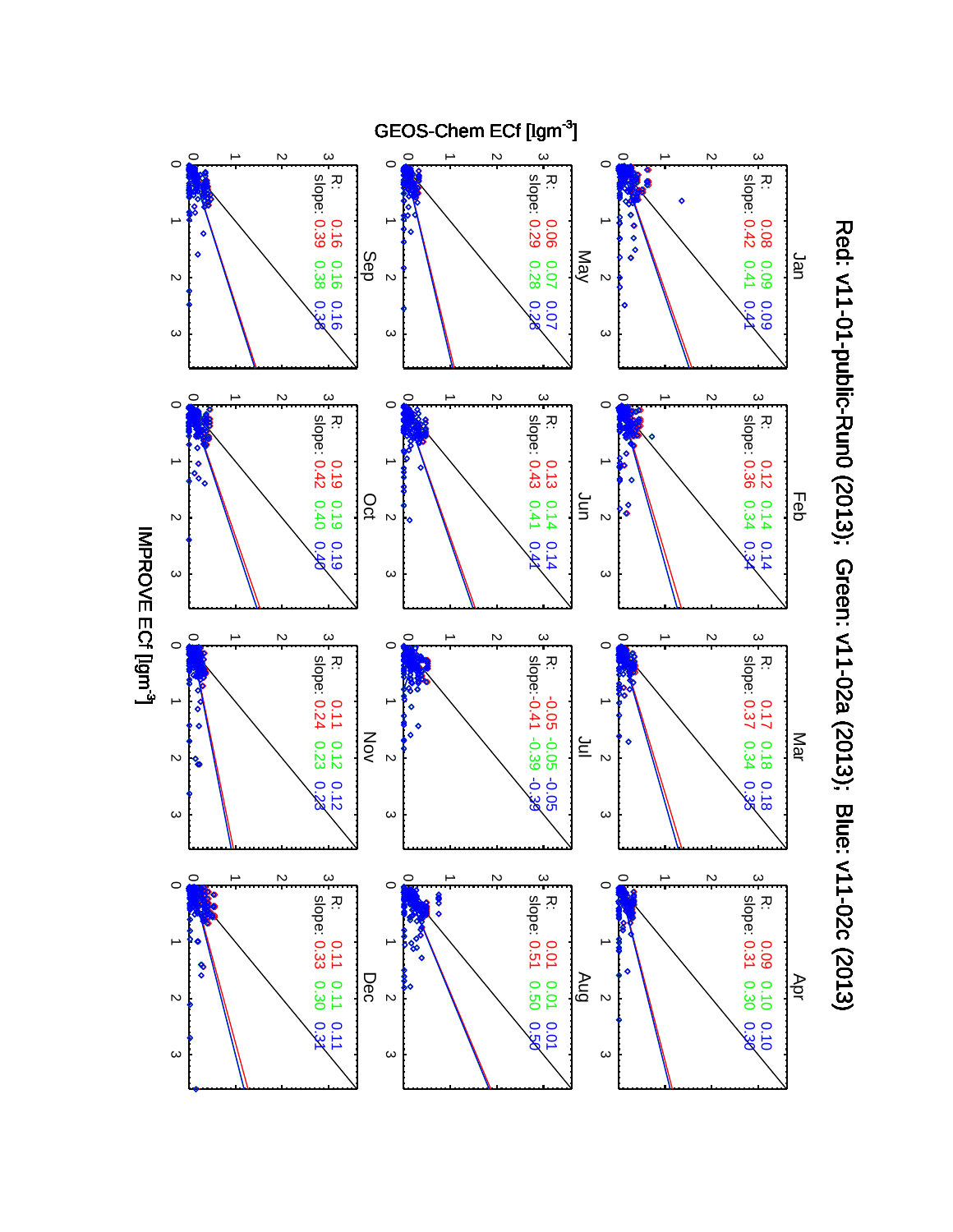

Red: v11-01-public-Rume: v11-02a (2013); Green: v11-02a (2013); Blue: v11-01-01-public-Rume: v11-01-Red: v11-01-public-Run0 (2013); Green: v11-02a (2013); Blue: v11-02c (2013)